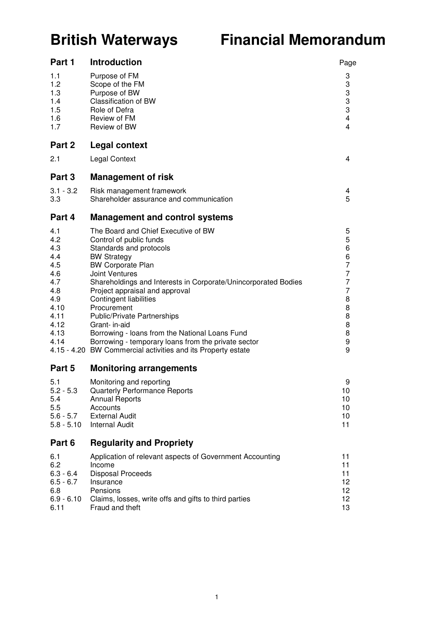# **British Waterways Financial Memorandum**

| Part 1                                                                                              | <b>Introduction</b>                                                                                                                                                                                                                                                                                                                                                                                                                                                                                                                                      | Page                                                                    |
|-----------------------------------------------------------------------------------------------------|----------------------------------------------------------------------------------------------------------------------------------------------------------------------------------------------------------------------------------------------------------------------------------------------------------------------------------------------------------------------------------------------------------------------------------------------------------------------------------------------------------------------------------------------------------|-------------------------------------------------------------------------|
| 1.1<br>1.2<br>1.3<br>1.4<br>1.5<br>1.6<br>1.7                                                       | Purpose of FM<br>Scope of the FM<br>Purpose of BW<br><b>Classification of BW</b><br>Role of Defra<br>Review of FM<br>Review of BW                                                                                                                                                                                                                                                                                                                                                                                                                        | 3<br>3<br>3<br>3<br>3<br>4<br>4                                         |
| Part 2                                                                                              | <b>Legal context</b>                                                                                                                                                                                                                                                                                                                                                                                                                                                                                                                                     |                                                                         |
| 2.1                                                                                                 | <b>Legal Context</b>                                                                                                                                                                                                                                                                                                                                                                                                                                                                                                                                     | 4                                                                       |
| Part 3                                                                                              | <b>Management of risk</b>                                                                                                                                                                                                                                                                                                                                                                                                                                                                                                                                |                                                                         |
| $3.1 - 3.2$<br>3.3                                                                                  | Risk management framework<br>Shareholder assurance and communication                                                                                                                                                                                                                                                                                                                                                                                                                                                                                     | 4<br>5                                                                  |
| Part 4                                                                                              | <b>Management and control systems</b>                                                                                                                                                                                                                                                                                                                                                                                                                                                                                                                    |                                                                         |
| 4.1<br>4.2<br>4.3<br>4.4<br>4.5<br>4.6<br>4.7<br>4.8<br>4.9<br>4.10<br>4.11<br>4.12<br>4.13<br>4.14 | The Board and Chief Executive of BW<br>Control of public funds<br>Standards and protocols<br><b>BW Strategy</b><br><b>BW Corporate Plan</b><br><b>Joint Ventures</b><br>Shareholdings and Interests in Corporate/Unincorporated Bodies<br>Project appraisal and approval<br><b>Contingent liabilities</b><br>Procurement<br><b>Public/Private Partnerships</b><br>Grant- in-aid<br>Borrowing - Ioans from the National Loans Fund<br>Borrowing - temporary loans from the private sector<br>4.15 - 4.20 BW Commercial activities and its Property estate | 5<br>5<br>6<br>6<br>7<br>7<br>7<br>7<br>8<br>8<br>8<br>8<br>8<br>9<br>9 |
| Part 5                                                                                              | <b>Monitoring arrangements</b>                                                                                                                                                                                                                                                                                                                                                                                                                                                                                                                           |                                                                         |
| 5.1<br>$5.2 - 5.3$<br>5.4<br>5.5<br>$5.6 - 5.7$<br>$5.8 - 5.10$                                     | Monitoring and reporting<br><b>Quarterly Performance Reports</b><br><b>Annual Reports</b><br>Accounts<br><b>External Audit</b><br><b>Internal Audit</b>                                                                                                                                                                                                                                                                                                                                                                                                  | 9<br>10<br>10<br>10<br>10<br>11                                         |
| Part 6                                                                                              | <b>Regularity and Propriety</b>                                                                                                                                                                                                                                                                                                                                                                                                                                                                                                                          |                                                                         |
| 6.1<br>6.2<br>$6.3 - 6.4$<br>$6.5 - 6.7$<br>6.8<br>$6.9 - 6.10$<br>6.11                             | Application of relevant aspects of Government Accounting<br>Income<br><b>Disposal Proceeds</b><br>Insurance<br>Pensions<br>Claims, losses, write offs and gifts to third parties<br>Fraud and theft                                                                                                                                                                                                                                                                                                                                                      | 11<br>11<br>11<br>12<br>12<br>12<br>13                                  |
|                                                                                                     |                                                                                                                                                                                                                                                                                                                                                                                                                                                                                                                                                          |                                                                         |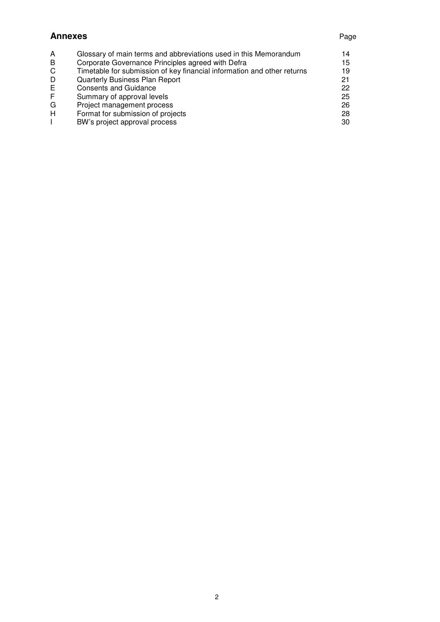#### **Annexes** Page

| A | Glossary of main terms and abbreviations used in this Memorandum        | 14 |
|---|-------------------------------------------------------------------------|----|
| B | Corporate Governance Principles agreed with Defra                       | 15 |
| C | Timetable for submission of key financial information and other returns | 19 |
| D | Quarterly Business Plan Report                                          | 21 |
| E | <b>Consents and Guidance</b>                                            | 22 |
| F | Summary of approval levels                                              | 25 |
| G | Project management process                                              | 26 |
| H | Format for submission of projects                                       | 28 |
|   | BW's project approval process                                           | 30 |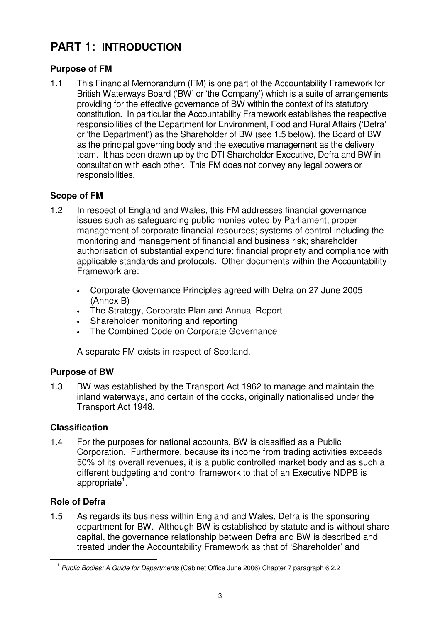## **PART 1: INTRODUCTION**

### **Purpose of FM**

1.1 This Financial Memorandum (FM) is one part of the Accountability Framework for British Waterways Board ('BW' or 'the Company') which is a suite of arrangements providing for the effective governance of BW within the context of its statutory constitution. In particular the Accountability Framework establishes the respective responsibilities of the Department for Environment, Food and Rural Affairs ('Defra' or 'the Department') as the Shareholder of BW (see 1.5 below), the Board of BW as the principal governing body and the executive management as the delivery team. It has been drawn up by the DTI Shareholder Executive, Defra and BW in consultation with each other. This FM does not convey any legal powers or responsibilities.

### **Scope of FM**

- 1.2 In respect of England and Wales, this FM addresses financial governance issues such as safeguarding public monies voted by Parliament; proper management of corporate financial resources; systems of control including the monitoring and management of financial and business risk; shareholder authorisation of substantial expenditure; financial propriety and compliance with applicable standards and protocols. Other documents within the Accountability Framework are:
	- Corporate Governance Principles agreed with Defra on 27 June 2005 (Annex B)
	- The Strategy, Corporate Plan and Annual Report
	- Shareholder monitoring and reporting
	- The Combined Code on Corporate Governance

A separate FM exists in respect of Scotland.

### **Purpose of BW**

1.3 BW was established by the Transport Act 1962 to manage and maintain the inland waterways, and certain of the docks, originally nationalised under the Transport Act 1948.

### **Classification**

1.4 For the purposes for national accounts, BW is classified as a Public Corporation. Furthermore, because its income from trading activities exceeds 50% of its overall revenues, it is a public controlled market body and as such a different budgeting and control framework to that of an Executive NDPB is appropriate<sup>1</sup>.

### **Role of Defra**

1.5 As regards its business within England and Wales, Defra is the sponsoring department for BW. Although BW is established by statute and is without share capital, the governance relationship between Defra and BW is described and treated under the Accountability Framework as that of 'Shareholder' and

<sup>1</sup> *Public Bodies: A Guide for Departments* (Cabinet Office June 2006) Chapter 7 paragraph 6.2.2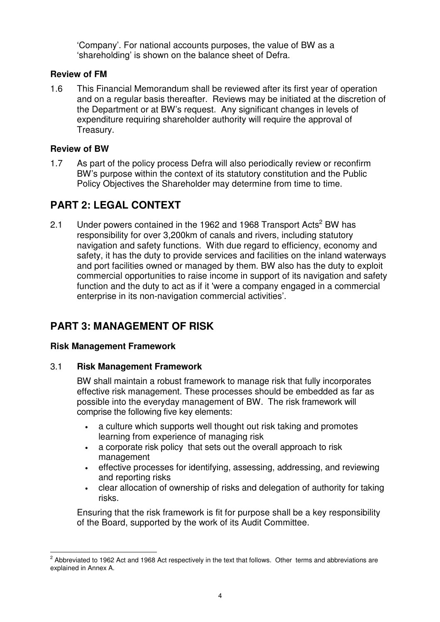'Company'. For national accounts purposes, the value of BW as a 'shareholding' is shown on the balance sheet of Defra.

#### **Review of FM**

1.6 This Financial Memorandum shall be reviewed after its first year of operation and on a regular basis thereafter. Reviews may be initiated at the discretion of the Department or at BW's request. Any significant changes in levels of expenditure requiring shareholder authority will require the approval of Treasury.

#### **Review of BW**

1.7 As part of the policy process Defra will also periodically review or reconfirm BW's purpose within the context of its statutory constitution and the Public Policy Objectives the Shareholder may determine from time to time.

### **PART 2: LEGAL CONTEXT**

2.1 Under powers contained in the 1962 and 1968 Transport Acts<sup>2</sup> BW has responsibility for over 3,200km of canals and rivers, including statutory navigation and safety functions. With due regard to efficiency, economy and safety, it has the duty to provide services and facilities on the inland waterways and port facilities owned or managed by them. BW also has the duty to exploit commercial opportunities to raise income in support of its navigation and safety function and the duty to act as if it 'were a company engaged in a commercial enterprise in its non-navigation commercial activities'.

### **PART 3: MANAGEMENT OF RISK**

#### **Risk Management Framework**

#### 3.1 **Risk Management Framework**

BW shall maintain a robust framework to manage risk that fully incorporates effective risk management. These processes should be embedded as far as possible into the everyday management of BW. The risk framework will comprise the following five key elements:

- a culture which supports well thought out risk taking and promotes learning from experience of managing risk
- a corporate risk policy that sets out the overall approach to risk management
- effective processes for identifying, assessing, addressing, and reviewing and reporting risks
- clear allocation of ownership of risks and delegation of authority for taking risks.

Ensuring that the risk framework is fit for purpose shall be a key responsibility of the Board, supported by the work of its Audit Committee.

 $^2$  Abbreviated to 1962 Act and 1968 Act respectively in the text that follows. Other terms and abbreviations are explained in Annex A.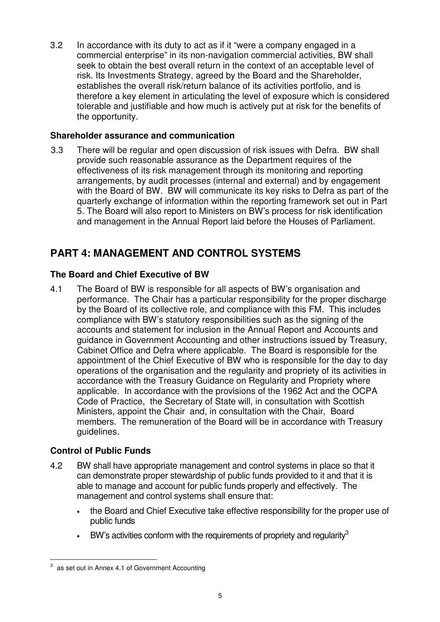3.2 In accordance with its duty to act as if it "were a company engaged in a commercial enterprise" in its non-navigation commercial activities, BW shall seek to obtain the best overall return in the context of an acceptable level of risk. Its Investments Strategy, agreed by the Board and the Shareholder, establishes the overall risk/return balance of its activities portfolio, and is therefore a key element in articulating the level of exposure which is considered tolerable and justifiable and how much is actively put at risk for the benefits of the opportunity.

#### **Shareholder assurance and communication**

3.3 There will be regular and open discussion of risk issues with Defra. BW shall provide such reasonable assurance as the Department requires of the effectiveness of its risk management through its monitoring and reporting arrangements, by audit processes (internal and external) and by engagement with the Board of BW. BW will communicate its key risks to Defra as part of the quarterly exchange of information within the reporting framework set out in Part 5. The Board will also report to Ministers on BW's process for risk identification and management in the Annual Report laid before the Houses of Parliament.

### **PART 4: MANAGEMENT AND CONTROL SYSTEMS**

#### **The Board and Chief Executive of BW**

4.1 The Board of BW is responsible for all aspects of BW's organisation and performance. The Chair has a particular responsibility for the proper discharge by the Board of its collective role, and compliance with this FM. This includes compliance with BW's statutory responsibilities such as the signing of the accounts and statement for inclusion in the Annual Report and Accounts and guidance in Government Accounting and other instructions issued by Treasury, Cabinet Office and Defra where applicable. The Board is responsible for the appointment of the Chief Executive of BW who is responsible for the day to day operations of the organisation and the regularity and propriety of its activities in accordance with the Treasury Guidance on Regularity and Propriety where applicable. In accordance with the provisions of the 1962 Act and the OCPA Code of Practice, the Secretary of State will, in consultation with Scottish Ministers, appoint the Chair and, in consultation with the Chair, Board members. The remuneration of the Board will be in accordance with Treasury guidelines.

#### **Control of Public Funds**

- 4.2 BW shall have appropriate management and control systems in place so that it can demonstrate proper stewardship of public funds provided to it and that it is able to manage and account for public funds properly and effectively. The management and control systems shall ensure that:
	- the Board and Chief Executive take effective responsibility for the proper use of public funds
	- $\bullet$  BW's activities conform with the requirements of propriety and regularity<sup>3</sup>

 $3$  as set out in Annex 4.1 of Government Accounting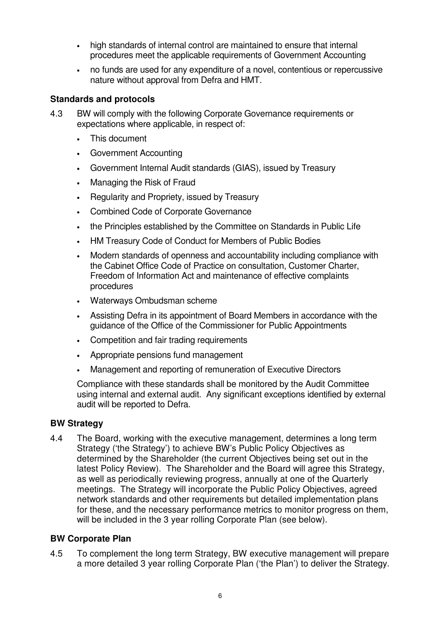- high standards of internal control are maintained to ensure that internal procedures meet the applicable requirements of Government Accounting
- no funds are used for any expenditure of a novel, contentious or repercussive nature without approval from Defra and HMT.

#### **Standards and protocols**

- 4.3 BW will comply with the following Corporate Governance requirements or expectations where applicable, in respect of:
	- This document
	- Government Accounting
	- Government Internal Audit standards (GIAS), issued by Treasury
	- Managing the Risk of Fraud
	- Regularity and Propriety, issued by Treasury
	- Combined Code of Corporate Governance
	- the Principles established by the Committee on Standards in Public Life
	- HM Treasury Code of Conduct for Members of Public Bodies
	- Modern standards of openness and accountability including compliance with the Cabinet Office Code of Practice on consultation, Customer Charter, Freedom of Information Act and maintenance of effective complaints procedures
	- Waterways Ombudsman scheme
	- Assisting Defra in its appointment of Board Members in accordance with the guidance of the Office of the Commissioner for Public Appointments
	- Competition and fair trading requirements
	- Appropriate pensions fund management
	- Management and reporting of remuneration of Executive Directors

Compliance with these standards shall be monitored by the Audit Committee using internal and external audit. Any significant exceptions identified by external audit will be reported to Defra.

#### **BW Strategy**

4.4 The Board, working with the executive management, determines a long term Strategy ('the Strategy') to achieve BW's Public Policy Objectives as determined by the Shareholder (the current Objectives being set out in the latest Policy Review). The Shareholder and the Board will agree this Strategy, as well as periodically reviewing progress, annually at one of the Quarterly meetings. The Strategy will incorporate the Public Policy Objectives, agreed network standards and other requirements but detailed implementation plans for these, and the necessary performance metrics to monitor progress on them, will be included in the 3 year rolling Corporate Plan (see below).

#### **BW Corporate Plan**

4.5 To complement the long term Strategy, BW executive management will prepare a more detailed 3 year rolling Corporate Plan ('the Plan') to deliver the Strategy.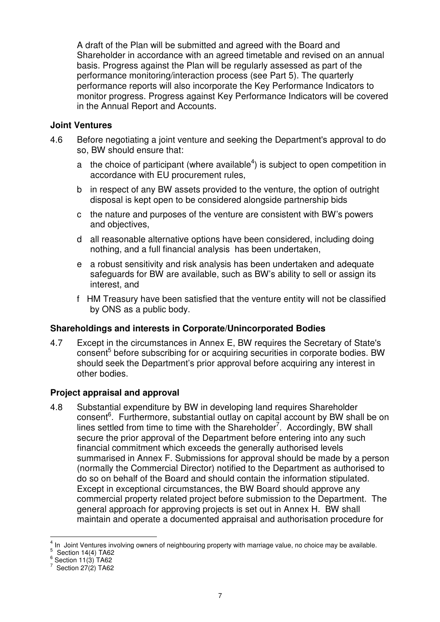A draft of the Plan will be submitted and agreed with the Board and Shareholder in accordance with an agreed timetable and revised on an annual basis. Progress against the Plan will be regularly assessed as part of the performance monitoring/interaction process (see Part 5). The quarterly performance reports will also incorporate the Key Performance Indicators to monitor progress. Progress against Key Performance Indicators will be covered in the Annual Report and Accounts.

#### **Joint Ventures**

- 4.6 Before negotiating a joint venture and seeking the Department's approval to do so, BW should ensure that:
	- a the choice of participant (where available<sup>4</sup>) is subject to open competition in accordance with EU procurement rules,
	- b in respect of any BW assets provided to the venture, the option of outright disposal is kept open to be considered alongside partnership bids
	- c the nature and purposes of the venture are consistent with BW's powers and objectives,
	- d all reasonable alternative options have been considered, including doing nothing, and a full financial analysis has been undertaken,
	- e a robust sensitivity and risk analysis has been undertaken and adequate safeguards for BW are available, such as BW's ability to sell or assign its interest, and
	- f HM Treasury have been satisfied that the venture entity will not be classified by ONS as a public body.

#### **Shareholdings and interests in Corporate/Unincorporated Bodies**

4.7 Except in the circumstances in Annex E, BW requires the Secretary of State's consent 5 before subscribing for or acquiring securities in corporate bodies. BW should seek the Department's prior approval before acquiring any interest in other bodies.

### **Project appraisal and approval**

4.8 Substantial expenditure by BW in developing land requires Shareholder consent<sup>6</sup>. Furthermore, substantial outlay on capital account by BW shall be on lines settled from time to time with the Shareholder<sup>7</sup>. Accordingly, BW shall secure the prior approval of the Department before entering into any such financial commitment which exceeds the generally authorised levels summarised in Annex F. Submissions for approval should be made by a person (normally the Commercial Director) notified to the Department as authorised to do so on behalf of the Board and should contain the information stipulated. Except in exceptional circumstances, the BW Board should approve any commercial property related project before submission to the Department. The general approach for approving projects is set out in Annex H. BW shall maintain and operate a documented appraisal and authorisation procedure for

<sup>4</sup> In Joint Ventures involving owners of neighbouring property with marriage value, no choice may be available.

 $\frac{5}{3}$  Section 14(4) TA62

 $\frac{6}{5}$  Section 11(3) TA62

 $\frac{7}{2}$  Section 27(2) TA62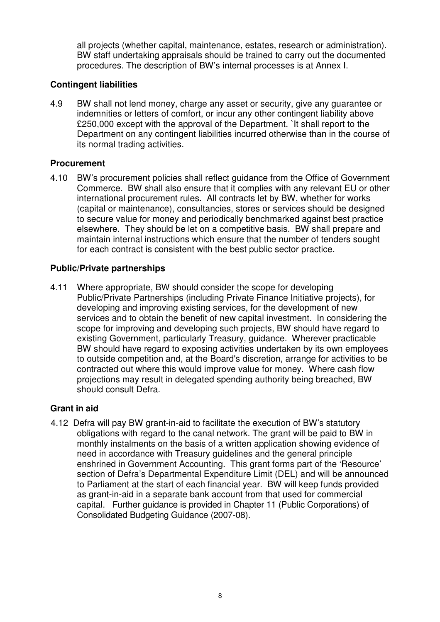all projects (whether capital, maintenance, estates, research or administration). BW staff undertaking appraisals should be trained to carry out the documented procedures. The description of BW's internal processes is at Annex I.

#### **Contingent liabilities**

4.9 BW shall not lend money, charge any asset or security, give any guarantee or indemnities or letters of comfort, or incur any other contingent liability above £250,000 except with the approval of the Department. It shall report to the Department on any contingent liabilities incurred otherwise than in the course of its normal trading activities.

#### **Procurement**

4.10 BW's procurement policies shall reflect guidance from the Office of Government Commerce. BW shall also ensure that it complies with any relevant EU or other international procurement rules. All contracts let by BW, whether for works (capital or maintenance), consultancies, stores or services should be designed to secure value for money and periodically benchmarked against best practice elsewhere. They should be let on a competitive basis. BW shall prepare and maintain internal instructions which ensure that the number of tenders sought for each contract is consistent with the best public sector practice.

#### **Public/Private partnerships**

4.11 Where appropriate, BW should consider the scope for developing Public/Private Partnerships (including Private Finance Initiative projects), for developing and improving existing services, for the development of new services and to obtain the benefit of new capital investment. In considering the scope for improving and developing such projects, BW should have regard to existing Government, particularly Treasury, guidance. Wherever practicable BW should have regard to exposing activities undertaken by its own employees to outside competition and, at the Board's discretion, arrange for activities to be contracted out where this would improve value for money. Where cash flow projections may result in delegated spending authority being breached, BW should consult Defra.

#### **Grant in aid**

4.12 Defra will pay BW grant-in-aid to facilitate the execution of BW's statutory obligations with regard to the canal network. The grant will be paid to BW in monthly instalments on the basis of a written application showing evidence of need in accordance with Treasury guidelines and the general principle enshrined in Government Accounting. This grant forms part of the 'Resource' section of Defra's Departmental Expenditure Limit (DEL) and will be announced to Parliament at the start of each financial year. BW will keep funds provided as grant-in-aid in a separate bank account from that used for commercial capital. Further guidance is provided in Chapter 11 (Public Corporations) of Consolidated Budgeting Guidance (2007-08).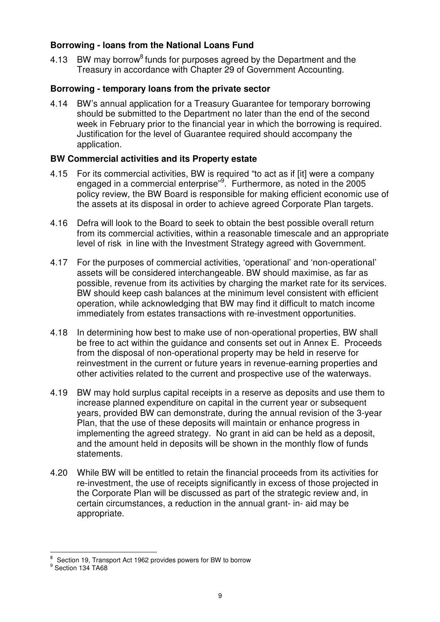#### **Borrowing - loans from the National Loans Fund**

4.13 BW may borrow<sup>8</sup> funds for purposes agreed by the Department and the Treasury in accordance with Chapter 29 of Government Accounting.

#### **Borrowing - temporary loans from the private sector**

4.14 BW's annual application for a Treasury Guarantee for temporary borrowing should be submitted to the Department no later than the end of the second week in February prior to the financial year in which the borrowing is required. Justification for the level of Guarantee required should accompany the application.

#### **BW Commercial activities and its Property estate**

- 4.15 For its commercial activities, BW is required "to act as if [it] were a company engaged in a commercial enterprise"<sup>9</sup>. Furthermore, as noted in the 2005 policy review, the BW Board is responsible for making efficient economic use of the assets at its disposal in order to achieve agreed Corporate Plan targets.
- 4.16 Defra will look to the Board to seek to obtain the best possible overall return from its commercial activities, within a reasonable timescale and an appropriate level of risk in line with the Investment Strategy agreed with Government.
- 4.17 For the purposes of commercial activities, 'operational' and 'non-operational' assets will be considered interchangeable. BW should maximise, as far as possible, revenue from its activities by charging the market rate for its services. BW should keep cash balances at the minimum level consistent with efficient operation, while acknowledging that BW may find it difficult to match income immediately from estates transactions with re-investment opportunities.
- 4.18 In determining how best to make use of non-operational properties, BW shall be free to act within the guidance and consents set out in Annex E. Proceeds from the disposal of non-operational property may be held in reserve for reinvestment in the current or future years in revenue-earning properties and other activities related to the current and prospective use of the waterways.
- 4.19 BW may hold surplus capital receipts in a reserve as deposits and use them to increase planned expenditure on capital in the current year or subsequent years, provided BW can demonstrate, during the annual revision of the 3-year Plan, that the use of these deposits will maintain or enhance progress in implementing the agreed strategy. No grant in aid can be held as a deposit, and the amount held in deposits will be shown in the monthly flow of funds statements.
- 4.20 While BW will be entitled to retain the financial proceeds from its activities for re-investment, the use of receipts significantly in excess of those projected in the Corporate Plan will be discussed as part of the strategic review and, in certain circumstances, a reduction in the annual grant- in- aid may be appropriate.

 $\frac{8}{3}$  Section 19, Transport Act 1962 provides powers for BW to borrow

<sup>&</sup>lt;sup>9</sup> Section 134 TA68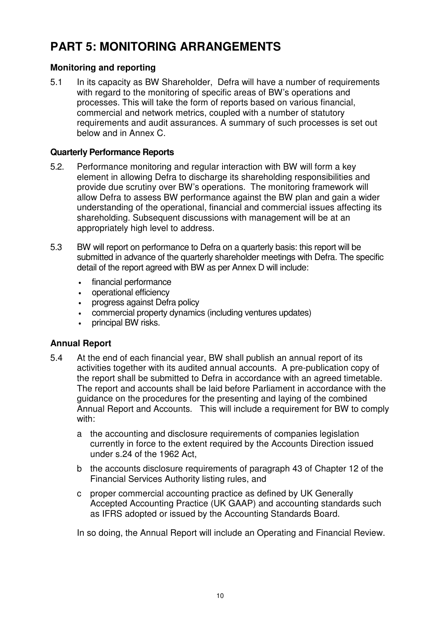## **PART 5: MONITORING ARRANGEMENTS**

### **Monitoring and reporting**

5.1 In its capacity as BW Shareholder, Defra will have a number of requirements with regard to the monitoring of specific areas of BW's operations and processes. This will take the form of reports based on various financial, commercial and network metrics, coupled with a number of statutory requirements and audit assurances. A summary of such processes is set out below and in Annex C.

#### **Quarterly Performance Reports**

- 5.2. Performance monitoring and regular interaction with BW will form a key element in allowing Defra to discharge its shareholding responsibilities and provide due scrutiny over BW's operations. The monitoring framework will allow Defra to assess BW performance against the BW plan and gain a wider understanding of the operational, financial and commercial issues affecting its shareholding. Subsequent discussions with management will be at an appropriately high level to address.
- 5.3 BW will report on performance to Defra on a quarterly basis: this report will be submitted in advance of the quarterly shareholder meetings with Defra. The specific detail of the report agreed with BW as per Annex D will include:
	- financial performance
	- operational efficiency
	- progress against Defra policy
	- commercial property dynamics (including ventures updates)
	- principal BW risks.

#### **Annual Report**

- 5.4 At the end of each financial year, BW shall publish an annual report of its activities together with its audited annual accounts. A pre-publication copy of the report shall be submitted to Defra in accordance with an agreed timetable. The report and accounts shall be laid before Parliament in accordance with the guidance on the procedures for the presenting and laying of the combined Annual Report and Accounts. This will include a requirement for BW to comply with:
	- a the accounting and disclosure requirements of companies legislation currently in force to the extent required by the Accounts Direction issued under s.24 of the 1962 Act,
	- b the accounts disclosure requirements of paragraph 43 of Chapter 12 of the Financial Services Authority listing rules, and
	- c proper commercial accounting practice as defined by UK Generally Accepted Accounting Practice (UK GAAP) and accounting standards such as IFRS adopted or issued by the Accounting Standards Board.

In so doing, the Annual Report will include an Operating and Financial Review.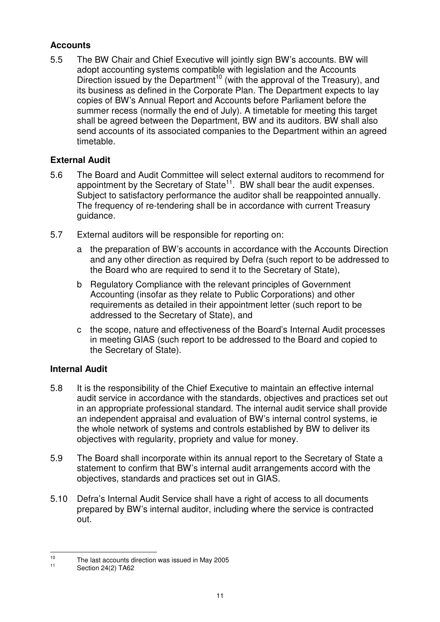#### **Accounts**

5.5 The BW Chair and Chief Executive will jointly sign BW's accounts. BW will adopt accounting systems compatible with legislation and the Accounts Direction issued by the Department<sup>10</sup> (with the approval of the Treasury), and its business as defined in the Corporate Plan. The Department expects to lay copies of BW's Annual Report and Accounts before Parliament before the summer recess (normally the end of July). A timetable for meeting this target shall be agreed between the Department, BW and its auditors. BW shall also send accounts of its associated companies to the Department within an agreed timetable.

### **External Audit**

- 5.6 The Board and Audit Committee will select external auditors to recommend for appointment by the Secretary of State $^{11}$ . BW shall bear the audit expenses. Subject to satisfactory performance the auditor shall be reappointed annually. The frequency of re-tendering shall be in accordance with current Treasury guidance.
- 5.7 External auditors will be responsible for reporting on:
	- a the preparation of BW's accounts in accordance with the Accounts Direction and any other direction as required by Defra (such report to be addressed to the Board who are required to send it to the Secretary of State),
	- b Regulatory Compliance with the relevant principles of Government Accounting (insofar as they relate to Public Corporations) and other requirements as detailed in their appointment letter (such report to be addressed to the Secretary of State), and
	- c the scope, nature and effectiveness of the Board's Internal Audit processes in meeting GIAS (such report to be addressed to the Board and copied to the Secretary of State).

#### **Internal Audit**

- 5.8 It is the responsibility of the Chief Executive to maintain an effective internal audit service in accordance with the standards, objectives and practices set out in an appropriate professional standard. The internal audit service shall provide an independent appraisal and evaluation of BW's internal control systems, ie the whole network of systems and controls established by BW to deliver its objectives with regularity, propriety and value for money.
- 5.9 The Board shall incorporate within its annual report to the Secretary of State a statement to confirm that BW's internal audit arrangements accord with the objectives, standards and practices set out in GIAS.
- 5.10 Defra's Internal Audit Service shall have a right of access to all documents prepared by BW's internal auditor, including where the service is contracted out.

<sup>10</sup> The last accounts direction was issued in May 2005

<sup>11</sup> Section 24(2) TA62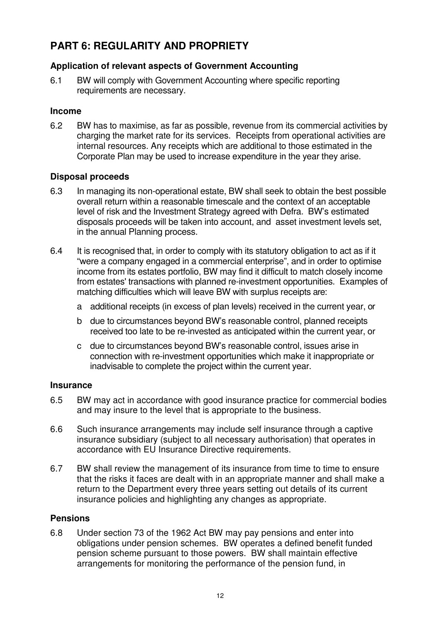### **PART 6: REGULARITY AND PROPRIETY**

#### **Application of relevant aspects of Government Accounting**

6.1 BW will comply with Government Accounting where specific reporting requirements are necessary.

#### **Income**

6.2 BW has to maximise, as far as possible, revenue from its commercial activities by charging the market rate for its services. Receipts from operational activities are internal resources. Any receipts which are additional to those estimated in the Corporate Plan may be used to increase expenditure in the year they arise.

#### **Disposal proceeds**

- 6.3 In managing its non-operational estate, BW shall seek to obtain the best possible overall return within a reasonable timescale and the context of an acceptable level of risk and the Investment Strategy agreed with Defra. BW's estimated disposals proceeds will be taken into account, and asset investment levels set, in the annual Planning process.
- 6.4 It is recognised that, in order to comply with its statutory obligation to act as if it "were a company engaged in a commercial enterprise", and in order to optimise income from its estates portfolio, BW may find it difficult to match closely income from estates'transactions with planned re-investment opportunities. Examples of matching difficulties which will leave BW with surplus receipts are:
	- a additional receipts (in excess of plan levels) received in the current year, or
	- b due to circumstances beyond BW's reasonable control, planned receipts received too late to be re-invested as anticipated within the current year, or
	- c due to circumstances beyond BW's reasonable control, issues arise in connection with re-investment opportunities which make it inappropriate or inadvisable to complete the project within the current year.

#### **Insurance**

- 6.5 BW may act in accordance with good insurance practice for commercial bodies and may insure to the level that is appropriate to the business.
- 6.6 Such insurance arrangements may include self insurance through a captive insurance subsidiary (subject to all necessary authorisation) that operates in accordance with EU Insurance Directive requirements.
- 6.7 BW shall review the management of its insurance from time to time to ensure that the risks it faces are dealt with in an appropriate manner and shall make a return to the Department every three years setting out details of its current insurance policies and highlighting any changes as appropriate.

#### **Pensions**

6.8 Under section 73 of the 1962 Act BW may pay pensions and enter into obligations under pension schemes. BW operates a defined benefit funded pension scheme pursuant to those powers. BW shall maintain effective arrangements for monitoring the performance of the pension fund, in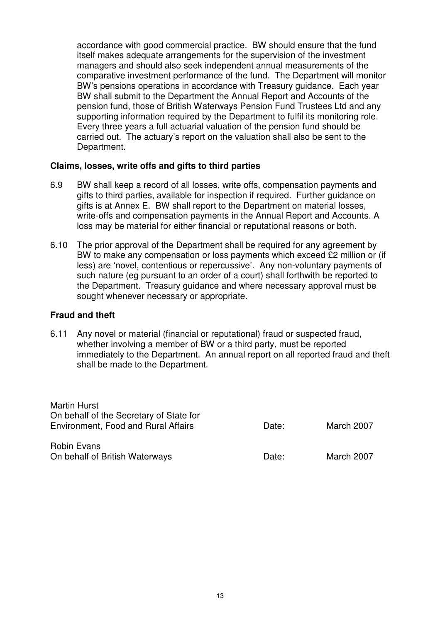accordance with good commercial practice. BW should ensure that the fund itself makes adequate arrangements for the supervision of the investment managers and should also seek independent annual measurements of the comparative investment performance of the fund. The Department will monitor BW's pensions operations in accordance with Treasury guidance. Each year BW shall submit to the Department the Annual Report and Accounts of the pension fund, those of British Waterways Pension Fund Trustees Ltd and any supporting information required by the Department to fulfil its monitoring role. Every three years a full actuarial valuation of the pension fund should be carried out. The actuary's report on the valuation shall also be sent to the Department.

#### **Claims, losses, write offs and gifts to third parties**

- 6.9 BW shall keep a record of all losses, write offs, compensation payments and gifts to third parties, available for inspection if required. Further guidance on gifts is at Annex E. BW shall report to the Department on material losses, write-offs and compensation payments in the Annual Report and Accounts. A loss may be material for either financial or reputational reasons or both.
- 6.10 The prior approval of the Department shall be required for any agreement by BW to make any compensation or loss payments which exceed £2 million or (if less) are 'novel, contentious or repercussive'. Any non-voluntary payments of such nature (eg pursuant to an order of a court) shall forthwith be reported to the Department. Treasury guidance and where necessary approval must be sought whenever necessary or appropriate.

#### **Fraud and theft**

Martin Hurst

6.11 Any novel or material (financial or reputational) fraud or suspected fraud, whether involving a member of BW or a third party, must be reported immediately to the Department. An annual report on all reported fraud and theft shall be made to the Department.

| Martin Hurst<br>On behalf of the Secretary of State for<br><b>Environment, Food and Rural Affairs</b> | Date: | March 2007 |
|-------------------------------------------------------------------------------------------------------|-------|------------|
| Robin Evans<br>On behalf of British Waterways                                                         | Date: | March 2007 |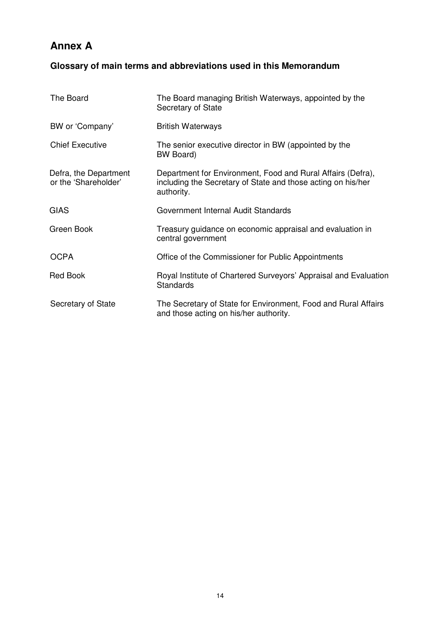### **Annex A**

### **Glossary of main terms and abbreviations used in this Memorandum**

| The Board                                     | The Board managing British Waterways, appointed by the<br>Secretary of State                                                              |
|-----------------------------------------------|-------------------------------------------------------------------------------------------------------------------------------------------|
| BW or 'Company'                               | <b>British Waterways</b>                                                                                                                  |
| <b>Chief Executive</b>                        | The senior executive director in BW (appointed by the<br>BW Board)                                                                        |
| Defra, the Department<br>or the 'Shareholder' | Department for Environment, Food and Rural Affairs (Defra),<br>including the Secretary of State and those acting on his/her<br>authority. |
| <b>GIAS</b>                                   | Government Internal Audit Standards                                                                                                       |
| Green Book                                    | Treasury guidance on economic appraisal and evaluation in<br>central government                                                           |
| <b>OCPA</b>                                   | Office of the Commissioner for Public Appointments                                                                                        |
| <b>Red Book</b>                               | Royal Institute of Chartered Surveyors' Appraisal and Evaluation<br><b>Standards</b>                                                      |
| Secretary of State                            | The Secretary of State for Environment, Food and Rural Affairs<br>and those acting on his/her authority.                                  |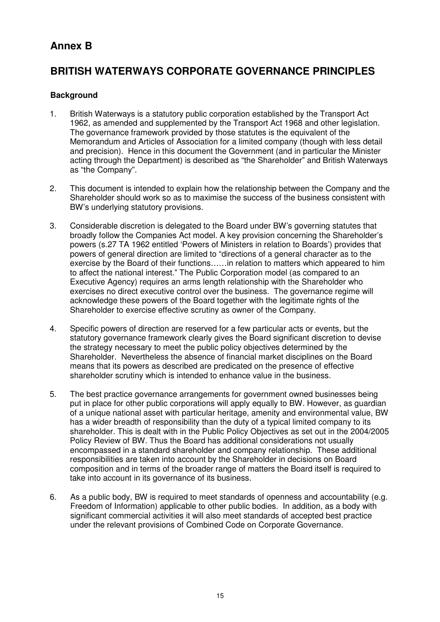### **Annex B**

### **BRITISH WATERWAYS CORPORATE GOVERNANCE PRINCIPLES**

#### **Background**

- 1. British Waterways is a statutory public corporation established by the Transport Act 1962, as amended and supplemented by the Transport Act 1968 and other legislation. The governance framework provided by those statutes is the equivalent of the Memorandum and Articles of Association for a limited company (though with less detail and precision). Hence in this document the Government (and in particular the Minister acting through the Department) is described as "the Shareholder" and British Waterways as "the Company".
- 2. This document is intended to explain how the relationship between the Company and the Shareholder should work so as to maximise the success of the business consistent with BW's underlying statutory provisions.
- 3. Considerable discretion is delegated to the Board under BW's governing statutes that broadly follow the Companies Act model. A key provision concerning the Shareholder's powers (s.27 TA 1962 entitled 'Powers of Ministers in relation to Boards') provides that powers of general direction are limited to "directions of a general character as to the exercise by the Board of their functions……in relation to matters which appeared to him to affect the national interest." The Public Corporation model (as compared to an Executive Agency) requires an arms length relationship with the Shareholder who exercises no direct executive control over the business. The governance regime will acknowledge these powers of the Board together with the legitimate rights of the Shareholder to exercise effective scrutiny as owner of the Company.
- 4. Specific powers of direction are reserved for a few particular acts or events, but the statutory governance framework clearly gives the Board significant discretion to devise the strategy necessary to meet the public policy objectives determined by the Shareholder. Nevertheless the absence of financial market disciplines on the Board means that its powers as described are predicated on the presence of effective shareholder scrutiny which is intended to enhance value in the business.
- 5. The best practice governance arrangements for government owned businesses being put in place for other public corporations will apply equally to BW. However, as guardian of a unique national asset with particular heritage, amenity and environmental value, BW has a wider breadth of responsibility than the duty of a typical limited company to its shareholder. This is dealt with in the Public Policy Objectives as set out in the 2004/2005 Policy Review of BW. Thus the Board has additional considerations not usually encompassed in a standard shareholder and company relationship. These additional responsibilities are taken into account by the Shareholder in decisions on Board composition and in terms of the broader range of matters the Board itself is required to take into account in its governance of its business.
- 6. As a public body, BW is required to meet standards of openness and accountability (e.g. Freedom of Information) applicable to other public bodies. In addition, as a body with significant commercial activities it will also meet standards of accepted best practice under the relevant provisions of Combined Code on Corporate Governance.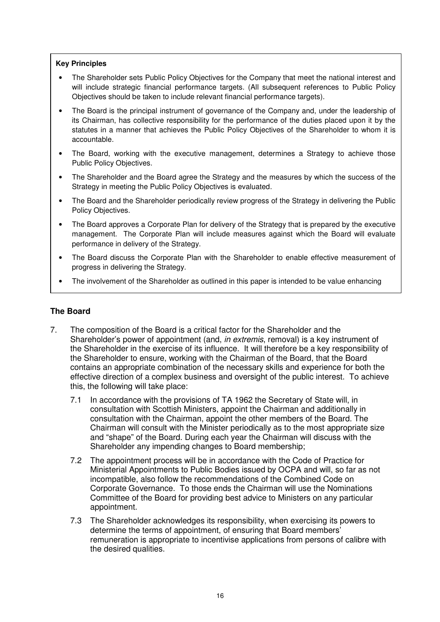#### **Key Principles**

- The Shareholder sets Public Policy Objectives for the Company that meet the national interest and will include strategic financial performance targets. (All subsequent references to Public Policy Objectives should be taken to include relevant financial performance targets).
- The Board is the principal instrument of governance of the Company and, under the leadership of its Chairman, has collective responsibility for the performance of the duties placed upon it by the statutes in a manner that achieves the Public Policy Objectives of the Shareholder to whom it is accountable.
- The Board, working with the executive management, determines a Strategy to achieve those Public Policy Objectives.
- The Shareholder and the Board agree the Strategy and the measures by which the success of the Strategy in meeting the Public Policy Objectives is evaluated.
- The Board and the Shareholder periodically review progress of the Strategy in delivering the Public Policy Objectives.
- The Board approves a Corporate Plan for delivery of the Strategy that is prepared by the executive management. The Corporate Plan will include measures against which the Board will evaluate performance in delivery of the Strategy.
- The Board discuss the Corporate Plan with the Shareholder to enable effective measurement of progress in delivering the Strategy.
- The involvement of the Shareholder as outlined in this paper is intended to be value enhancing

#### **The Board**

- 7. The composition of the Board is a critical factor for the Shareholder and the Shareholder's power of appointment (and, *in extremis*, removal) is a key instrument of the Shareholder in the exercise of its influence. It will therefore be a key responsibility of the Shareholder to ensure, working with the Chairman of the Board, that the Board contains an appropriate combination of the necessary skills and experience for both the effective direction of a complex business and oversight of the public interest. To achieve this, the following will take place:
	- 7.1 In accordance with the provisions of TA 1962 the Secretary of State will, in consultation with Scottish Ministers, appoint the Chairman and additionally in consultation with the Chairman, appoint the other members of the Board. The Chairman will consult with the Minister periodically as to the most appropriate size and "shape" of the Board. During each year the Chairman will discuss with the Shareholder any impending changes to Board membership;
	- 7.2 The appointment process will be in accordance with the Code of Practice for Ministerial Appointments to Public Bodies issued by OCPA and will, so far as not incompatible, also follow the recommendations of the Combined Code on Corporate Governance. To those ends the Chairman will use the Nominations Committee of the Board for providing best advice to Ministers on any particular appointment.
	- 7.3 The Shareholder acknowledges its responsibility, when exercising its powers to determine the terms of appointment, of ensuring that Board members' remuneration is appropriate to incentivise applications from persons of calibre with the desired qualities.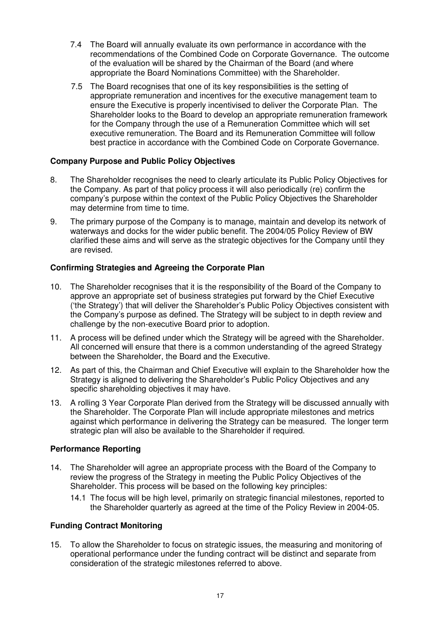- 7.4 The Board will annually evaluate its own performance in accordance with the recommendations of the Combined Code on Corporate Governance. The outcome of the evaluation will be shared by the Chairman of the Board (and where appropriate the Board Nominations Committee) with the Shareholder.
- 7.5 The Board recognises that one of its key responsibilities is the setting of appropriate remuneration and incentives for the executive management team to ensure the Executive is properly incentivised to deliver the Corporate Plan. The Shareholder looks to the Board to develop an appropriate remuneration framework for the Company through the use of a Remuneration Committee which will set executive remuneration. The Board and its Remuneration Committee will follow best practice in accordance with the Combined Code on Corporate Governance.

#### **Company Purpose and Public Policy Objectives**

- 8. The Shareholder recognises the need to clearly articulate its Public Policy Objectives for the Company. As part of that policy process it will also periodically (re) confirm the company's purpose within the context of the Public Policy Objectives the Shareholder may determine from time to time.
- 9. The primary purpose of the Company is to manage, maintain and develop its network of waterways and docks for the wider public benefit. The 2004/05 Policy Review of BW clarified these aims and will serve as the strategic objectives for the Company until they are revised.

#### **Confirming Strategies and Agreeing the Corporate Plan**

- 10. The Shareholder recognises that it is the responsibility of the Board of the Company to approve an appropriate set of business strategies put forward by the Chief Executive ('the Strategy') that will deliver the Shareholder's Public Policy Objectives consistent with the Company's purpose as defined. The Strategy will be subject to in depth review and challenge by the non-executive Board prior to adoption.
- 11. A process will be defined under which the Strategy will be agreed with the Shareholder. All concerned will ensure that there is a common understanding of the agreed Strategy between the Shareholder, the Board and the Executive.
- 12. As part of this, the Chairman and Chief Executive will explain to the Shareholder how the Strategy is aligned to delivering the Shareholder's Public Policy Objectives and any specific shareholding objectives it may have.
- 13. A rolling 3 Year Corporate Plan derived from the Strategy will be discussed annually with the Shareholder. The Corporate Plan will include appropriate milestones and metrics against which performance in delivering the Strategy can be measured. The longer term strategic plan will also be available to the Shareholder if required.

#### **Performance Reporting**

- 14. The Shareholder will agree an appropriate process with the Board of the Company to review the progress of the Strategy in meeting the Public Policy Objectives of the Shareholder. This process will be based on the following key principles:
	- 14.1 The focus will be high level, primarily on strategic financial milestones, reported to the Shareholder quarterly as agreed at the time of the Policy Review in 2004-05.

#### **Funding Contract Monitoring**

15. To allow the Shareholder to focus on strategic issues, the measuring and monitoring of operational performance under the funding contract will be distinct and separate from consideration of the strategic milestones referred to above.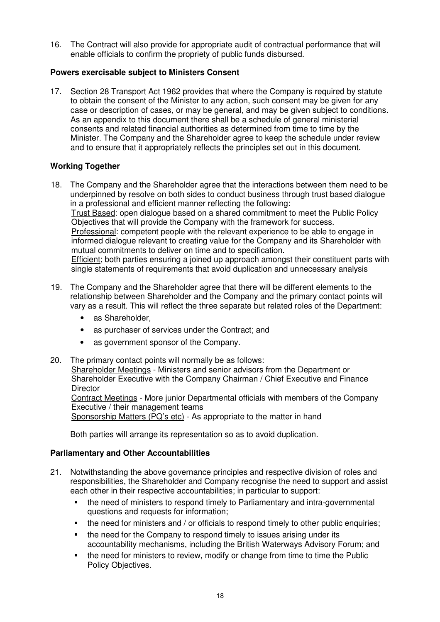16. The Contract will also provide for appropriate audit of contractual performance that will enable officials to confirm the propriety of public funds disbursed.

#### **Powers exercisable subject to Ministers Consent**

17. Section 28 Transport Act 1962 provides that where the Company is required by statute to obtain the consent of the Minister to any action, such consent may be given for any case or description of cases, or may be general, and may be given subject to conditions. As an appendix to this document there shall be a schedule of general ministerial consents and related financial authorities as determined from time to time by the Minister. The Company and the Shareholder agree to keep the schedule under review and to ensure that it appropriately reflects the principles set out in this document.

#### **Working Together**

- 18. The Company and the Shareholder agree that the interactions between them need to be underpinned by resolve on both sides to conduct business through trust based dialogue in a professional and efficient manner reflecting the following: Trust Based: open dialogue based on a shared commitment to meet the Public Policy Objectives that will provide the Company with the framework for success. Professional: competent people with the relevant experience to be able to engage in informed dialogue relevant to creating value for the Company and its Shareholder with mutual commitments to deliver on time and to specification. Efficient; both parties ensuring a joined up approach amongst their constituent parts with single statements of requirements that avoid duplication and unnecessary analysis
- 19. The Company and the Shareholder agree that there will be different elements to the relationship between Shareholder and the Company and the primary contact points will vary as a result. This will reflect the three separate but related roles of the Department:
	- as Shareholder.
	- as purchaser of services under the Contract; and
	- as government sponsor of the Company.
- 20. The primary contact points will normally be as follows:

Shareholder Meetings - Ministers and senior advisors from the Department or Shareholder Executive with the Company Chairman / Chief Executive and Finance **Director** 

Contract Meetings - More junior Departmental officials with members of the Company Executive / their management teams

Sponsorship Matters (PQ's etc) - As appropriate to the matter in hand

Both parties will arrange its representation so as to avoid duplication.

#### **Parliamentary and Other Accountabilities**

- 21. Notwithstanding the above governance principles and respective division of roles and responsibilities, the Shareholder and Company recognise the need to support and assist each other in their respective accountabilities; in particular to support:
	- the need of ministers to respond timely to Parliamentary and intra-governmental questions and requests for information;
	- the need for ministers and / or officials to respond timely to other public enquiries;
	- the need for the Company to respond timely to issues arising under its accountability mechanisms, including the British Waterways Advisory Forum; and
	- the need for ministers to review, modify or change from time to time the Public Policy Objectives.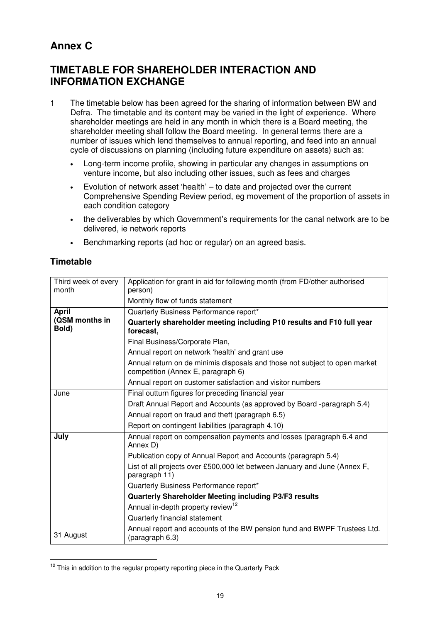### **Annex C**

### **TIMETABLE FOR SHAREHOLDER INTERACTION AND INFORMATION EXCHANGE**

- 1 The timetable below has been agreed for the sharing of information between BW and Defra. The timetable and its content may be varied in the light of experience. Where shareholder meetings are held in any month in which there is a Board meeting, the shareholder meeting shall follow the Board meeting. In general terms there are a number of issues which lend themselves to annual reporting, and feed into an annual cycle of discussions on planning (including future expenditure on assets) such as:
	- Long-term income profile, showing in particular any changes in assumptions on venture income, but also including other issues, such as fees and charges
	- Evolution of network asset 'health' to date and projected over the current Comprehensive Spending Review period, eg movement of the proportion of assets in each condition category
	- the deliverables by which Government's requirements for the canal network are to be delivered, ie network reports
	- Benchmarking reports (ad hoc or regular) on an agreed basis.

#### **Timetable**

| Third week of every<br>month | Application for grant in aid for following month (from FD/other authorised<br>person)                            |  |  |  |
|------------------------------|------------------------------------------------------------------------------------------------------------------|--|--|--|
|                              | Monthly flow of funds statement                                                                                  |  |  |  |
| <b>April</b>                 | Quarterly Business Performance report*                                                                           |  |  |  |
| (QSM months in<br>Bold)      | Quarterly shareholder meeting including P10 results and F10 full year<br>forecast,                               |  |  |  |
|                              | Final Business/Corporate Plan,                                                                                   |  |  |  |
|                              | Annual report on network 'health' and grant use                                                                  |  |  |  |
|                              | Annual return on de minimis disposals and those not subject to open market<br>competition (Annex E, paragraph 6) |  |  |  |
|                              | Annual report on customer satisfaction and visitor numbers                                                       |  |  |  |
| June                         | Final outturn figures for preceding financial year                                                               |  |  |  |
|                              | Draft Annual Report and Accounts (as approved by Board -paragraph 5.4)                                           |  |  |  |
|                              | Annual report on fraud and theft (paragraph 6.5)                                                                 |  |  |  |
|                              | Report on contingent liabilities (paragraph 4.10)                                                                |  |  |  |
| July                         | Annual report on compensation payments and losses (paragraph 6.4 and<br>Annex D)                                 |  |  |  |
|                              | Publication copy of Annual Report and Accounts (paragraph 5.4)                                                   |  |  |  |
|                              | List of all projects over £500,000 let between January and June (Annex F,<br>paragraph 11)                       |  |  |  |
|                              | Quarterly Business Performance report*                                                                           |  |  |  |
|                              | Quarterly Shareholder Meeting including P3/F3 results                                                            |  |  |  |
|                              | Annual in-depth property review <sup>12</sup>                                                                    |  |  |  |
|                              | Quarterly financial statement                                                                                    |  |  |  |
| 31 August                    | Annual report and accounts of the BW pension fund and BWPF Trustees Ltd.<br>(paragraph 6.3)                      |  |  |  |

<sup>&</sup>lt;sup>12</sup> This in addition to the regular property reporting piece in the Quarterly Pack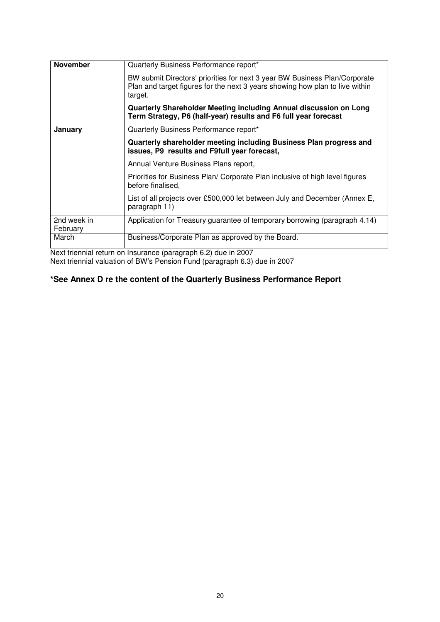| <b>November</b>         | Quarterly Business Performance report*                                                                                                                                |  |  |
|-------------------------|-----------------------------------------------------------------------------------------------------------------------------------------------------------------------|--|--|
|                         | BW submit Directors' priorities for next 3 year BW Business Plan/Corporate<br>Plan and target figures for the next 3 years showing how plan to live within<br>target. |  |  |
|                         | Quarterly Shareholder Meeting including Annual discussion on Long<br>Term Strategy, P6 (half-year) results and F6 full year forecast                                  |  |  |
| January                 | Quarterly Business Performance report*                                                                                                                                |  |  |
|                         | Quarterly shareholder meeting including Business Plan progress and<br>issues, P9 results and F9full year forecast,                                                    |  |  |
|                         | Annual Venture Business Plans report,                                                                                                                                 |  |  |
|                         | Priorities for Business Plan/ Corporate Plan inclusive of high level figures<br>before finalised.                                                                     |  |  |
|                         | List of all projects over £500,000 let between July and December (Annex E,<br>paragraph 11)                                                                           |  |  |
| 2nd week in<br>February | Application for Treasury guarantee of temporary borrowing (paragraph 4.14)                                                                                            |  |  |
| March                   | Business/Corporate Plan as approved by the Board.                                                                                                                     |  |  |

Next triennial return on Insurance (paragraph 6.2) due in 2007 Next triennial valuation of BW's Pension Fund (paragraph 6.3) due in 2007

#### **\*See Annex D re the content of the Quarterly Business Performance Report**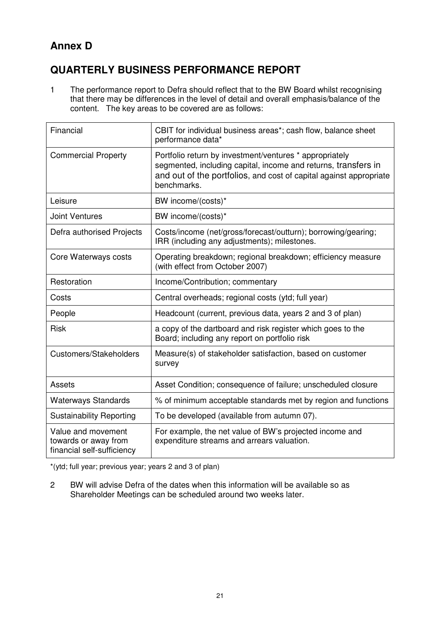### **Annex D**

### **QUARTERLY BUSINESS PERFORMANCE REPORT**

1 The performance report to Defra should reflect that to the BW Board whilst recognising that there may be differences in the level of detail and overall emphasis/balance of the content. The key areas to be covered are as follows:

| Financial                                                                | CBIT for individual business areas*; cash flow, balance sheet<br>performance data*                                                                                                                             |  |  |
|--------------------------------------------------------------------------|----------------------------------------------------------------------------------------------------------------------------------------------------------------------------------------------------------------|--|--|
| <b>Commercial Property</b>                                               | Portfolio return by investment/ventures * appropriately<br>segmented, including capital, income and returns, transfers in<br>and out of the portfolios, and cost of capital against appropriate<br>benchmarks. |  |  |
| Leisure                                                                  | BW income/(costs)*                                                                                                                                                                                             |  |  |
| <b>Joint Ventures</b>                                                    | BW income/(costs)*                                                                                                                                                                                             |  |  |
| Defra authorised Projects                                                | Costs/income (net/gross/forecast/outturn); borrowing/gearing;<br>IRR (including any adjustments); milestones.                                                                                                  |  |  |
| Core Waterways costs                                                     | Operating breakdown; regional breakdown; efficiency measure<br>(with effect from October 2007)                                                                                                                 |  |  |
| Restoration                                                              | Income/Contribution; commentary                                                                                                                                                                                |  |  |
| Costs                                                                    | Central overheads; regional costs (ytd; full year)                                                                                                                                                             |  |  |
| People                                                                   | Headcount (current, previous data, years 2 and 3 of plan)                                                                                                                                                      |  |  |
| <b>Risk</b>                                                              | a copy of the dartboard and risk register which goes to the<br>Board; including any report on portfolio risk                                                                                                   |  |  |
| Customers/Stakeholders                                                   | Measure(s) of stakeholder satisfaction, based on customer<br>survey                                                                                                                                            |  |  |
| Assets                                                                   | Asset Condition; consequence of failure; unscheduled closure                                                                                                                                                   |  |  |
| <b>Waterways Standards</b>                                               | % of minimum acceptable standards met by region and functions                                                                                                                                                  |  |  |
| <b>Sustainability Reporting</b>                                          | To be developed (available from autumn 07).                                                                                                                                                                    |  |  |
| Value and movement<br>towards or away from<br>financial self-sufficiency | For example, the net value of BW's projected income and<br>expenditure streams and arrears valuation.                                                                                                          |  |  |

\*(ytd; full year; previous year; years 2 and 3 of plan)

2 BW will advise Defra of the dates when this information will be available so as Shareholder Meetings can be scheduled around two weeks later.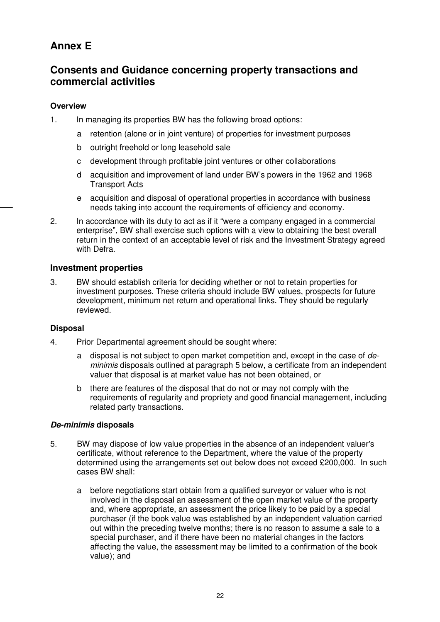### **Annex E**

### **Consents and Guidance concerning property transactions and commercial activities**

#### **Overview**

- 1. In managing its properties BW has the following broad options:
	- a retention (alone or in joint venture) of properties for investment purposes
	- b outright freehold or long leasehold sale
	- c development through profitable joint ventures or other collaborations
	- d acquisition and improvement of land under BW's powers in the 1962 and 1968 Transport Acts
	- e acquisition and disposal of operational properties in accordance with business needs taking into account the requirements of efficiency and economy.
- 2. In accordance with its duty to act as if it "were a company engaged in a commercial enterprise", BW shall exercise such options with a view to obtaining the best overall return in the context of an acceptable level of risk and the Investment Strategy agreed with Defra.

#### **Investment properties**

3. BW should establish criteria for deciding whether or not to retain properties for investment purposes. These criteria should include BW values, prospects for future development, minimum net return and operational links. They should be regularly reviewed.

#### **Disposal**

- 4. Prior Departmental agreement should be sought where:
	- a disposal is not subject to open market competition and, except in the case of *deminimis* disposals outlined at paragraph 5 below, a certificate from an independent valuer that disposal is at market value has not been obtained, or
	- b there are features of the disposal that do not or may not comply with the requirements of regularity and propriety and good financial management, including related party transactions.

#### *De-minimis* **disposals**

- 5. BW may dispose of low value properties in the absence of an independent valuer's certificate, without reference to the Department, where the value of the property determined using the arrangements set out below does not exceed £200,000. In such cases BW shall:
	- a before negotiations start obtain from a qualified surveyor or valuer who is not involved in the disposal an assessment of the open market value of the property and, where appropriate, an assessment the price likely to be paid by a special purchaser (if the book value was established by an independent valuation carried out within the preceding twelve months; there is no reason to assume a sale to a special purchaser, and if there have been no material changes in the factors affecting the value, the assessment may be limited to a confirmation of the book value); and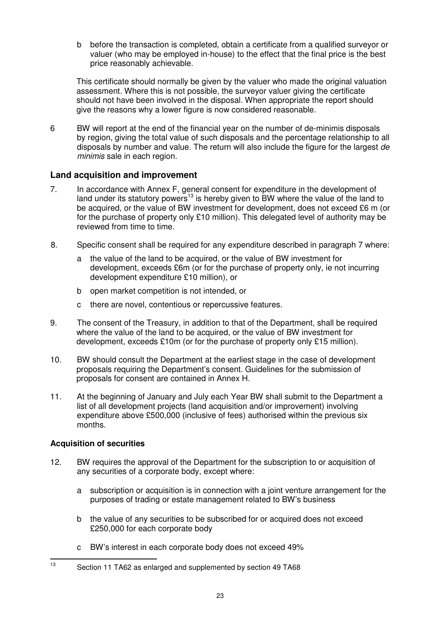b before the transaction is completed, obtain a certificate from a qualified surveyor or valuer (who may be employed in-house) to the effect that the final price is the best price reasonably achievable.

This certificate should normally be given by the valuer who made the original valuation assessment. Where this is not possible, the surveyor valuer giving the certificate should not have been involved in the disposal. When appropriate the report should give the reasons why a lower figure is now considered reasonable.

6 BW will report at the end of the financial year on the number of de-minimis disposals by region, giving the total value of such disposals and the percentage relationship to all disposals by number and value. The return will also include the figure for the largest *de minimis* sale in each region.

#### **Land acquisition and improvement**

- 7. In accordance with Annex F, general consent for expenditure in the development of land under its statutory powers<sup>13</sup> is hereby given to BW where the value of the land to be acquired, or the value of BW investment for development, does not exceed £6 m (or for the purchase of property only £10 million). This delegated level of authority may be reviewed from time to time.
- 8. Specific consent shall be required for any expenditure described in paragraph 7 where:
	- a the value of the land to be acquired, or the value of BW investment for development, exceeds £6m (or for the purchase of property only, ie not incurring development expenditure £10 million), or
	- b open market competition is not intended, or
	- c there are novel, contentious or repercussive features.
- 9. The consent of the Treasury, in addition to that of the Department, shall be required where the value of the land to be acquired, or the value of BW investment for development, exceeds £10m (or for the purchase of property only £15 million).
- 10. BW should consult the Department at the earliest stage in the case of development proposals requiring the Department's consent. Guidelines for the submission of proposals for consent are contained in Annex H.
- 11. At the beginning of January and July each Year BW shall submit to the Department a list of all development projects (land acquisition and/or improvement) involving expenditure above £500,000 (inclusive of fees) authorised within the previous six months.

#### **Acquisition of securities**

- 12. BW requires the approval of the Department for the subscription to or acquisition of any securities of a corporate body, except where:
	- a subscription or acquisition is in connection with a joint venture arrangement for the purposes of trading or estate management related to BW's business
	- b the value of any securities to be subscribed for or acquired does not exceed £250,000 for each corporate body
	- c BW's interest in each corporate body does not exceed 49%

<sup>13</sup> Section 11 TA62 as enlarged and supplemented by section 49 TA68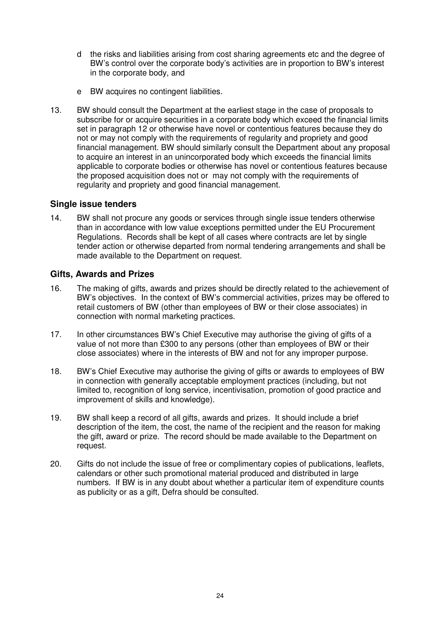- d the risks and liabilities arising from cost sharing agreements etc and the degree of BW's control over the corporate body's activities are in proportion to BW's interest in the corporate body, and
- e BW acquires no contingent liabilities.
- 13. BW should consult the Department at the earliest stage in the case of proposals to subscribe for or acquire securities in a corporate body which exceed the financial limits set in paragraph 12 or otherwise have novel or contentious features because they do not or may not comply with the requirements of regularity and propriety and good financial management. BW should similarly consult the Department about any proposal to acquire an interest in an unincorporated body which exceeds the financial limits applicable to corporate bodies or otherwise has novel or contentious features because the proposed acquisition does not or may not comply with the requirements of regularity and propriety and good financial management.

#### **Single issue tenders**

14. BW shall not procure any goods or services through single issue tenders otherwise than in accordance with low value exceptions permitted under the EU Procurement Regulations. Records shall be kept of all cases where contracts are let by single tender action or otherwise departed from normal tendering arrangements and shall be made available to the Department on request.

#### **Gifts, Awards and Prizes**

- 16. The making of gifts, awards and prizes should be directly related to the achievement of BW's objectives. In the context of BW's commercial activities, prizes may be offered to retail customers of BW (other than employees of BW or their close associates) in connection with normal marketing practices.
- 17. In other circumstances BW's Chief Executive may authorise the giving of gifts of a value of not more than £300 to any persons (other than employees of BW or their close associates) where in the interests of BW and not for any improper purpose.
- 18. BW's Chief Executive may authorise the giving of gifts or awards to employees of BW in connection with generally acceptable employment practices (including, but not limited to, recognition of long service, incentivisation, promotion of good practice and improvement of skills and knowledge).
- 19. BW shall keep a record of all gifts, awards and prizes. It should include a brief description of the item, the cost, the name of the recipient and the reason for making the gift, award or prize. The record should be made available to the Department on request.
- 20. Gifts do not include the issue of free or complimentary copies of publications, leaflets, calendars or other such promotional material produced and distributed in large numbers. If BW is in any doubt about whether a particular item of expenditure counts as publicity or as a gift, Defra should be consulted.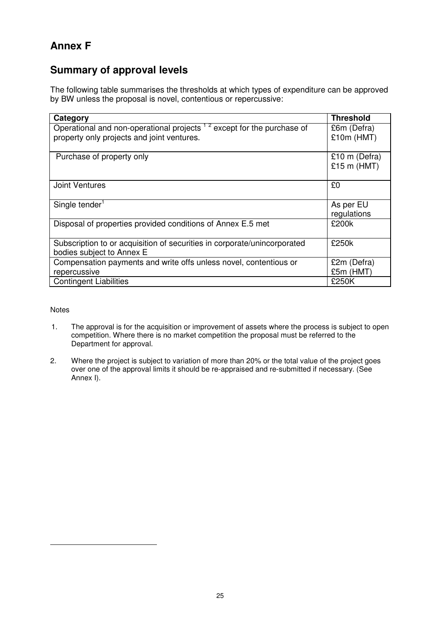### **Annex F**

### **Summary of approval levels**

The following table summarises the thresholds at which types of expenditure can be approved by BW unless the proposal is novel, contentious or repercussive:

| Category                                                                 | <b>Threshold</b> |
|--------------------------------------------------------------------------|------------------|
|                                                                          |                  |
| Operational and non-operational projects $12$ except for the purchase of | £6m (Defra)      |
| property only projects and joint ventures.                               | $£10m$ (HMT)     |
|                                                                          |                  |
| Purchase of property only                                                | £10 m (Defra)    |
|                                                                          | £15 m ( $HMT$ )  |
|                                                                          |                  |
| <b>Joint Ventures</b>                                                    | £0               |
|                                                                          |                  |
| Single tender <sup>1</sup>                                               | As per EU        |
|                                                                          | regulations      |
| Disposal of properties provided conditions of Annex E.5 met              | £200k            |
|                                                                          |                  |
| Subscription to or acquisition of securities in corporate/unincorporated | £250k            |
| bodies subject to Annex E                                                |                  |
| Compensation payments and write offs unless novel, contentious or        | £2m (Defra)      |
| repercussive                                                             | £5m (HMT)        |
| <b>Contingent Liabilities</b>                                            | £250K            |

**Notes** 

- 1. The approval is for the acquisition or improvement of assets where the process is subject to open competition. Where there is no market competition the proposal must be referred to the Department for approval.
- 2. Where the project is subject to variation of more than 20% or the total value of the project goes over one of the approval limits it should be re-appraised and re-submitted if necessary. (See Annex I).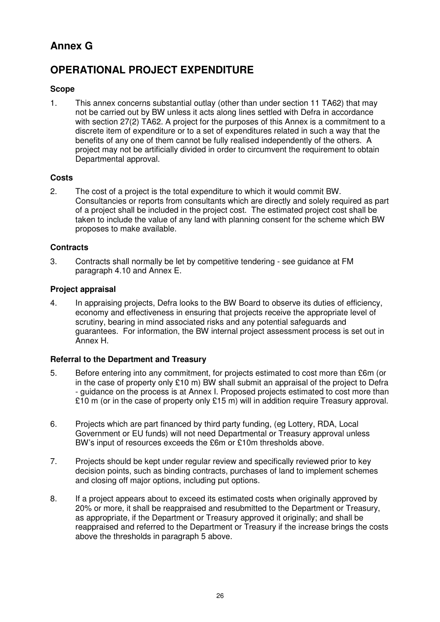### **Annex G**

### **OPERATIONAL PROJECT EXPENDITURE**

#### **Scope**

1. This annex concerns substantial outlay (other than under section 11 TA62) that may not be carried out by BW unless it acts along lines settled with Defra in accordance with section 27(2) TA62. A project for the purposes of this Annex is a commitment to a discrete item of expenditure or to a set of expenditures related in such a way that the benefits of any one of them cannot be fully realised independently of the others. A project may not be artificially divided in order to circumvent the requirement to obtain Departmental approval.

#### **Costs**

2. The cost of a project is the total expenditure to which it would commit BW. Consultancies or reports from consultants which are directly and solely required as part of a project shall be included in the project cost. The estimated project cost shall be taken to include the value of any land with planning consent for the scheme which BW proposes to make available.

#### **Contracts**

3. Contracts shall normally be let by competitive tendering - see guidance at FM paragraph 4.10 and Annex E.

#### **Project appraisal**

4. In appraising projects, Defra looks to the BW Board to observe its duties of efficiency, economy and effectiveness in ensuring that projects receive the appropriate level of scrutiny, bearing in mind associated risks and any potential safeguards and guarantees. For information, the BW internal project assessment process is set out in Annex H.

#### **Referral to the Department and Treasury**

- 5. Before entering into any commitment, for projects estimated to cost more than £6m (or in the case of property only £10 m) BW shall submit an appraisal of the project to Defra - guidance on the process is at Annex I. Proposed projects estimated to cost more than £10 m (or in the case of property only £15 m) will in addition require Treasury approval.
- 6. Projects which are part financed by third party funding, (eg Lottery, RDA, Local Government or EU funds) will not need Departmental or Treasury approval unless BW's input of resources exceeds the £6m or £10m thresholds above.
- 7. Projects should be kept under regular review and specifically reviewed prior to key decision points, such as binding contracts, purchases of land to implement schemes and closing off major options, including put options.
- 8. If a project appears about to exceed its estimated costs when originally approved by 20% or more, it shall be reappraised and resubmitted to the Department or Treasury, as appropriate, if the Department or Treasury approved it originally; and shall be reappraised and referred to the Department or Treasury if the increase brings the costs above the thresholds in paragraph 5 above.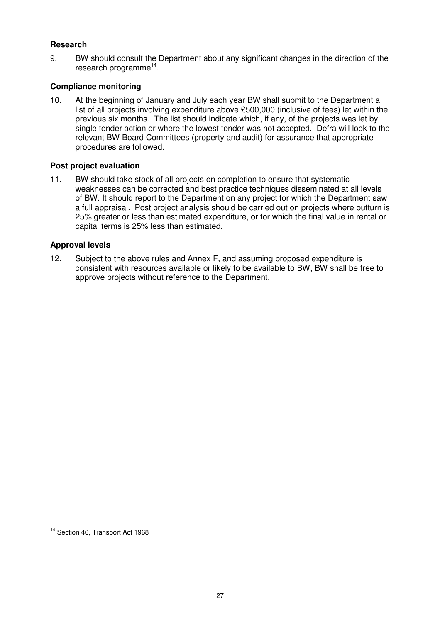#### **Research**

9. BW should consult the Department about any significant changes in the direction of the research programme<sup>14</sup>.

#### **Compliance monitoring**

10. At the beginning of January and July each year BW shall submit to the Department a list of all projects involving expenditure above £500,000 (inclusive of fees) let within the previous six months. The list should indicate which, if any, of the projects was let by single tender action or where the lowest tender was not accepted. Defra will look to the relevant BW Board Committees (property and audit) for assurance that appropriate procedures are followed.

#### **Post project evaluation**

11. BW should take stock of all projects on completion to ensure that systematic weaknesses can be corrected and best practice techniques disseminated at all levels of BW. It should report to the Department on any project for which the Department saw a full appraisal. Post project analysis should be carried out on projects where outturn is 25% greater or less than estimated expenditure, or for which the final value in rental or capital terms is 25% less than estimated.

#### **Approval levels**

12. Subject to the above rules and Annex F, and assuming proposed expenditure is consistent with resources available or likely to be available to BW, BW shall be free to approve projects without reference to the Department.

<sup>&</sup>lt;sup>14</sup> Section 46, Transport Act 1968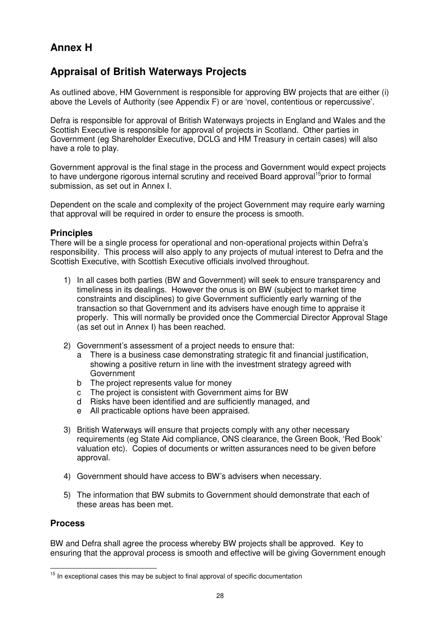### **Annex H**

### **Appraisal of British Waterways Projects**

As outlined above, HM Government is responsible for approving BW projects that are either (i) above the Levels of Authority (see Appendix F) or are 'novel, contentious or repercussive'.

Defra is responsible for approval of British Waterways projects in England and Wales and the Scottish Executive is responsible for approval of projects in Scotland. Other parties in Government (eg Shareholder Executive, DCLG and HM Treasury in certain cases) will also have a role to play.

Government approval is the final stage in the process and Government would expect projects to have undergone rigorous internal scrutiny and received Board approval<sup>15</sup>prior to formal submission, as set out in Annex I.

Dependent on the scale and complexity of the project Government may require early warning that approval will be required in order to ensure the process is smooth.

#### **Principles**

There will be a single process for operational and non-operational projects within Defra's responsibility. This process will also apply to any projects of mutual interest to Defra and the Scottish Executive, with Scottish Executive officials involved throughout.

- 1) In all cases both parties (BW and Government) will seek to ensure transparency and timeliness in its dealings. However the onus is on BW (subject to market time constraints and disciplines) to give Government sufficiently early warning of the transaction so that Government and its advisers have enough time to appraise it properly. This will normally be provided once the Commercial Director Approval Stage (as set out in Annex I) has been reached.
- 2) Government's assessment of a project needs to ensure that:
	- a There is a business case demonstrating strategic fit and financial justification, showing a positive return in line with the investment strategy agreed with Government
	- b The project represents value for money
	- c The project is consistent with Government aims for BW
	- d Risks have been identified and are sufficiently managed, and
	- e All practicable options have been appraised.
- 3) British Waterways will ensure that projects comply with any other necessary requirements (eg State Aid compliance, ONS clearance, the Green Book, 'Red Book' valuation etc). Copies of documents or written assurances need to be given before approval.
- 4) Government should have access to BW's advisers when necessary.
- 5) The information that BW submits to Government should demonstrate that each of these areas has been met.

#### **Process**

BW and Defra shall agree the process whereby BW projects shall be approved. Key to ensuring that the approval process is smooth and effective will be giving Government enough

<sup>&</sup>lt;sup>15</sup> In exceptional cases this may be subject to final approval of specific documentation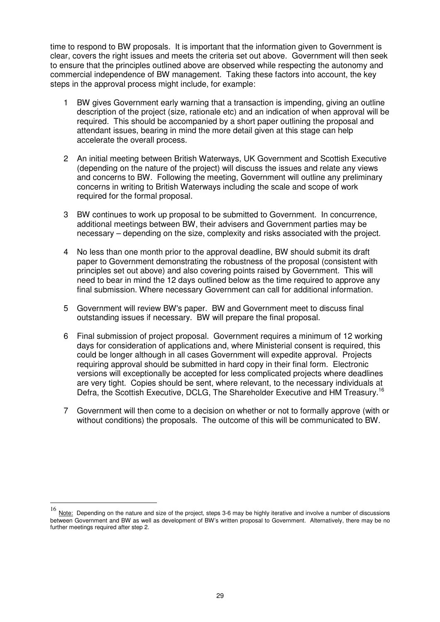time to respond to BW proposals. It is important that the information given to Government is clear, covers the right issues and meets the criteria set out above. Government will then seek to ensure that the principles outlined above are observed while respecting the autonomy and commercial independence of BW management. Taking these factors into account, the key steps in the approval process might include, for example:

- 1 BW gives Government early warning that a transaction is impending, giving an outline description of the project (size, rationale etc) and an indication of when approval will be required. This should be accompanied by a short paper outlining the proposal and attendant issues, bearing in mind the more detail given at this stage can help accelerate the overall process.
- 2 An initial meeting between British Waterways, UK Government and Scottish Executive (depending on the nature of the project) will discuss the issues and relate any views and concerns to BW. Following the meeting, Government will outline any preliminary concerns in writing to British Waterways including the scale and scope of work required for the formal proposal.
- 3 BW continues to work up proposal to be submitted to Government. In concurrence, additional meetings between BW, their advisers and Government parties may be necessary – depending on the size, complexity and risks associated with the project.
- 4 No less than one month prior to the approval deadline, BW should submit its draft paper to Government demonstrating the robustness of the proposal (consistent with principles set out above) and also covering points raised by Government. This will need to bear in mind the 12 days outlined below as the time required to approve any final submission. Where necessary Government can call for additional information.
- 5 Government will review BW's paper. BW and Government meet to discuss final outstanding issues if necessary. BW will prepare the final proposal.
- 6 Final submission of project proposal. Government requires a minimum of 12 working days for consideration of applications and, where Ministerial consent is required, this could be longer although in all cases Government will expedite approval. Projects requiring approval should be submitted in hard copy in their final form. Electronic versions will exceptionally be accepted for less complicated projects where deadlines are very tight. Copies should be sent, where relevant, to the necessary individuals at Defra, the Scottish Executive, DCLG, The Shareholder Executive and HM Treasury.<sup>16</sup>
- 7 Government will then come to a decision on whether or not to formally approve (with or without conditions) the proposals. The outcome of this will be communicated to BW.

<sup>16</sup> Note: Depending on the nature and size of the project, steps 3-6 may be highly iterative and involve a number of discussions between Government and BW as well as development of BW's written proposal to Government. Alternatively, there may be no further meetings required after step 2.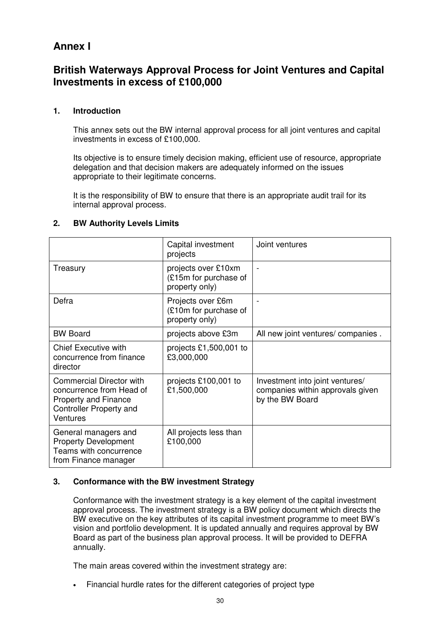### **Annex I**

### **British Waterways Approval Process for Joint Ventures and Capital Investments in excess of £100,000**

#### **1. Introduction**

This annex sets out the BW internal approval process for all joint ventures and capital investments in excess of £100,000.

Its objective is to ensure timely decision making, efficient use of resource, appropriate delegation and that decision makers are adequately informed on the issues appropriate to their legitimate concerns.

It is the responsibility of BW to ensure that there is an appropriate audit trail for its internal approval process.

|                                                                                                                                   | Capital investment<br>projects                                 | Joint ventures                                                                         |
|-----------------------------------------------------------------------------------------------------------------------------------|----------------------------------------------------------------|----------------------------------------------------------------------------------------|
| Treasury                                                                                                                          | projects over £10xm<br>(£15m for purchase of<br>property only) |                                                                                        |
| Defra                                                                                                                             | Projects over £6m<br>(£10m for purchase of<br>property only)   |                                                                                        |
| <b>BW Board</b>                                                                                                                   | projects above £3m                                             | All new joint ventures/ companies.                                                     |
| <b>Chief Executive with</b><br>concurrence from finance<br>director                                                               | projects £1,500,001 to<br>£3,000,000                           |                                                                                        |
| <b>Commercial Director with</b><br>concurrence from Head of<br><b>Property and Finance</b><br>Controller Property and<br>Ventures | projects £100,001 to<br>£1,500,000                             | Investment into joint ventures/<br>companies within approvals given<br>by the BW Board |
| General managers and<br><b>Property Development</b><br>Teams with concurrence<br>from Finance manager                             | All projects less than<br>£100,000                             |                                                                                        |

#### **2. BW Authority Levels Limits**

#### **3. Conformance with the BW investment Strategy**

Conformance with the investment strategy is a key element of the capital investment approval process. The investment strategy is a BW policy document which directs the BW executive on the key attributes of its capital investment programme to meet BW's vision and portfolio development. It is updated annually and requires approval by BW Board as part of the business plan approval process. It will be provided to DEFRA annually.

The main areas covered within the investment strategy are:

• Financial hurdle rates for the different categories of project type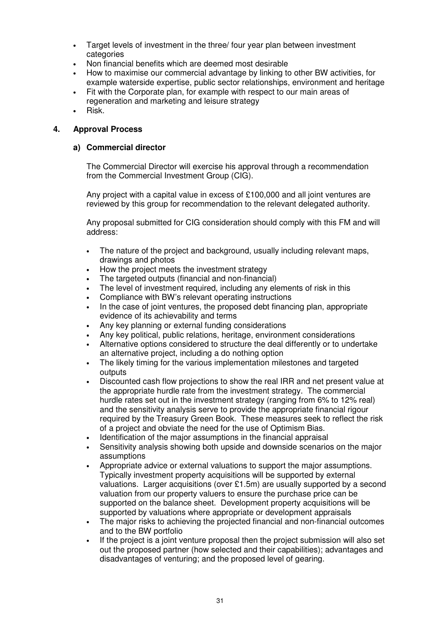- Target levels of investment in the three/ four year plan between investment categories
- Non financial benefits which are deemed most desirable
- How to maximise our commercial advantage by linking to other BW activities, for example waterside expertise, public sector relationships, environment and heritage
- Fit with the Corporate plan, for example with respect to our main areas of regeneration and marketing and leisure strategy
- Risk.

#### **4. Approval Process**

#### **a) Commercial director**

The Commercial Director will exercise his approval through a recommendation from the Commercial Investment Group (CIG).

Any project with a capital value in excess of £100,000 and all joint ventures are reviewed by this group for recommendation to the relevant delegated authority.

Any proposal submitted for CIG consideration should comply with this FM and will address:

- The nature of the project and background, usually including relevant maps, drawings and photos
- How the project meets the investment strategy
- The targeted outputs (financial and non-financial)
- The level of investment required, including any elements of risk in this
- Compliance with BW's relevant operating instructions
- In the case of joint ventures, the proposed debt financing plan, appropriate evidence of its achievability and terms
- Any key planning or external funding considerations
- Any key political, public relations, heritage, environment considerations
- Alternative options considered to structure the deal differently or to undertake an alternative project, including a do nothing option
- The likely timing for the various implementation milestones and targeted outputs
- Discounted cash flow projections to show the real IRR and net present value at the appropriate hurdle rate from the investment strategy. The commercial hurdle rates set out in the investment strategy (ranging from 6% to 12% real) and the sensitivity analysis serve to provide the appropriate financial rigour required by the Treasury Green Book. These measures seek to reflect the risk of a project and obviate the need for the use of Optimism Bias.
- Identification of the major assumptions in the financial appraisal
- Sensitivity analysis showing both upside and downside scenarios on the major assumptions
- Appropriate advice or external valuations to support the major assumptions. Typically investment property acquisitions will be supported by external valuations. Larger acquisitions (over £1.5m) are usually supported by a second valuation from our property valuers to ensure the purchase price can be supported on the balance sheet. Development property acquisitions will be supported by valuations where appropriate or development appraisals
- The major risks to achieving the projected financial and non-financial outcomes and to the BW portfolio
- If the project is a joint venture proposal then the project submission will also set out the proposed partner (how selected and their capabilities); advantages and disadvantages of venturing; and the proposed level of gearing.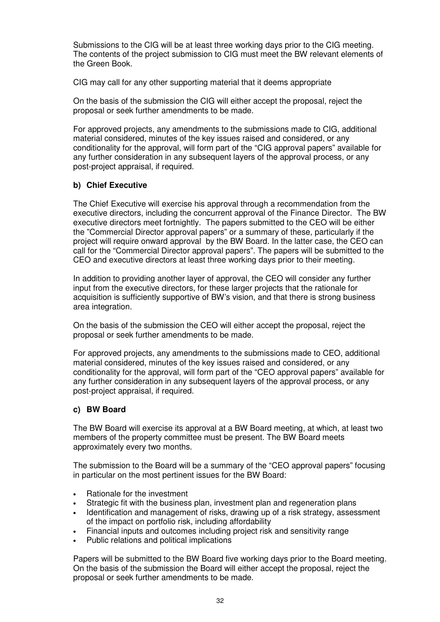Submissions to the CIG will be at least three working days prior to the CIG meeting. The contents of the project submission to CIG must meet the BW relevant elements of the Green Book.

CIG may call for any other supporting material that it deems appropriate

On the basis of the submission the CIG will either accept the proposal, reject the proposal or seek further amendments to be made.

For approved projects, any amendments to the submissions made to CIG, additional material considered, minutes of the key issues raised and considered, or any conditionality for the approval, will form part of the "CIG approval papers" available for any further consideration in any subsequent layers of the approval process, or any post-project appraisal, if required.

#### **b) Chief Executive**

The Chief Executive will exercise his approval through a recommendation from the executive directors, including the concurrent approval of the Finance Director. The BW executive directors meet fortnightly. The papers submitted to the CEO will be either the "Commercial Director approval papers" or a summary of these, particularly if the project will require onward approval by the BW Board. In the latter case, the CEO can call for the "Commercial Director approval papers". The papers will be submitted to the CEO and executive directors at least three working days prior to their meeting.

In addition to providing another layer of approval, the CEO will consider any further input from the executive directors, for these larger projects that the rationale for acquisition is sufficiently supportive of BW's vision, and that there is strong business area integration.

On the basis of the submission the CEO will either accept the proposal, reject the proposal or seek further amendments to be made.

For approved projects, any amendments to the submissions made to CEO, additional material considered, minutes of the key issues raised and considered, or any conditionality for the approval, will form part of the "CEO approval papers" available for any further consideration in any subsequent layers of the approval process, or any post-project appraisal, if required.

#### **c) BW Board**

The BW Board will exercise its approval at a BW Board meeting, at which, at least two members of the property committee must be present. The BW Board meets approximately every two months.

The submission to the Board will be a summary of the "CEO approval papers" focusing in particular on the most pertinent issues for the BW Board:

- Rationale for the investment
- Strategic fit with the business plan, investment plan and regeneration plans
- Identification and management of risks, drawing up of a risk strategy, assessment of the impact on portfolio risk, including affordability
- Financial inputs and outcomes including project risk and sensitivity range
- Public relations and political implications

Papers will be submitted to the BW Board five working days prior to the Board meeting. On the basis of the submission the Board will either accept the proposal, reject the proposal or seek further amendments to be made.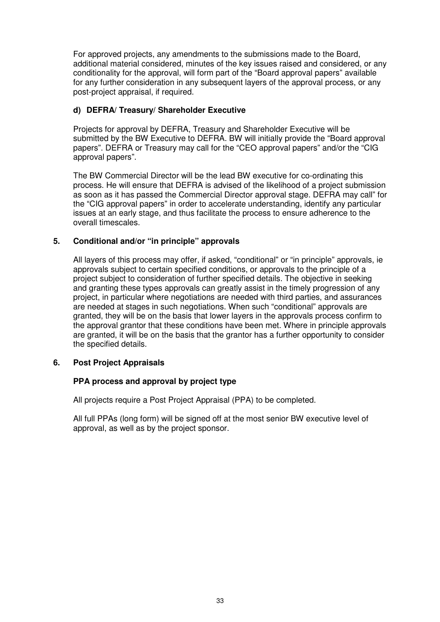For approved projects, any amendments to the submissions made to the Board, additional material considered, minutes of the key issues raised and considered, or any conditionality for the approval, will form part of the "Board approval papers" available for any further consideration in any subsequent layers of the approval process, or any post-project appraisal, if required.

#### **d) DEFRA/ Treasury/ Shareholder Executive**

Projects for approval by DEFRA, Treasury and Shareholder Executive will be submitted by the BW Executive to DEFRA. BW will initially provide the "Board approval papers". DEFRA or Treasury may call for the "CEO approval papers" and/or the "CIG approval papers".

The BW Commercial Director will be the lead BW executive for co-ordinating this process. He will ensure that DEFRA is advised of the likelihood of a project submission as soon as it has passed the Commercial Director approval stage. DEFRA may call" for the "CIG approval papers" in order to accelerate understanding, identify any particular issues at an early stage, and thus facilitate the process to ensure adherence to the overall timescales.

#### **5. Conditional and/or "in principle" approvals**

All layers of this process may offer, if asked, "conditional" or "in principle" approvals, ie approvals subject to certain specified conditions, or approvals to the principle of a project subject to consideration of further specified details. The objective in seeking and granting these types approvals can greatly assist in the timely progression of any project, in particular where negotiations are needed with third parties, and assurances are needed at stages in such negotiations. When such "conditional" approvals are granted, they will be on the basis that lower layers in the approvals process confirm to the approval grantor that these conditions have been met. Where in principle approvals are granted, it will be on the basis that the grantor has a further opportunity to consider the specified details.

#### **6. Post Project Appraisals**

#### **PPA process and approval by project type**

All projects require a Post Project Appraisal (PPA) to be completed.

All full PPAs (long form) will be signed off at the most senior BW executive level of approval, as well as by the project sponsor.